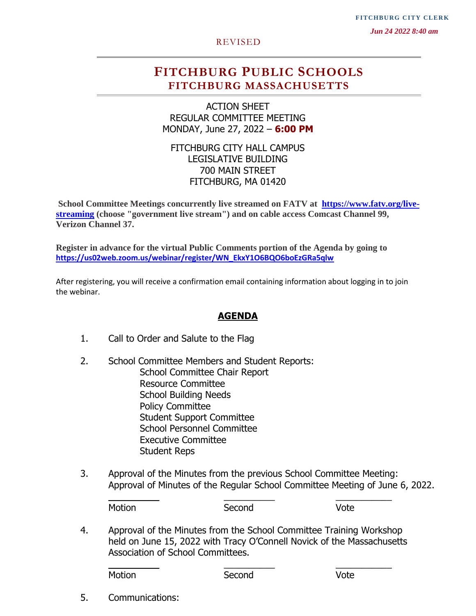**FITCHBURG CITY CLERK** 

 *Jun 24 2022 8:40 am*

#### REVISED

## **FITCHBURG PUBLIC SCHOOLS FITCHBURG MASSACHUSETTS**

ACTION SHEET REGULAR COMMITTEE MEETING MONDAY, June 27, 2022 – **6:00 PM**

FITCHBURG CITY HALL CAMPUS LEGISLATIVE BUILDING 700 MAIN STREET FITCHBURG, MA 01420

**School Committee Meetings concurrently live streamed on FATV at [https://www.fatv.org/live](https://www.fatv.org/live-streaming)[streaming](https://www.fatv.org/live-streaming) (choose "government live stream") and on cable access Comcast Channel 99, Verizon Channel 37.** 

**Register in advance for the virtual Public Comments portion of the Agenda by going to [https://us02web.zoom.us/webinar/register/WN\\_EkxY1O6BQO6boEzGRa5qlw](https://us02web.zoom.us/webinar/register/WN_EkxY1O6BQO6boEzGRa5qlw)**

After registering, you will receive a confirmation email containing information about logging in to join the webinar.

#### **AGENDA**

- 1. Call to Order and Salute to the Flag
- 2. School Committee Members and Student Reports: School Committee Chair Report Resource Committee School Building Needs Policy Committee Student Support Committee School Personnel Committee Executive Committee Student Reps
- 3. Approval of the Minutes from the previous School Committee Meeting: Approval of Minutes of the Regular School Committee Meeting of June 6, 2022.

 $\frac{1}{2}$  ,  $\frac{1}{2}$  ,  $\frac{1}{2}$  ,  $\frac{1}{2}$  ,  $\frac{1}{2}$  ,  $\frac{1}{2}$  ,  $\frac{1}{2}$  ,  $\frac{1}{2}$  ,  $\frac{1}{2}$  ,  $\frac{1}{2}$  ,  $\frac{1}{2}$  ,  $\frac{1}{2}$  ,  $\frac{1}{2}$  ,  $\frac{1}{2}$  ,  $\frac{1}{2}$  ,  $\frac{1}{2}$  ,  $\frac{1}{2}$  ,  $\frac{1}{2}$  ,  $\frac{1$ Motion Second Vote

4. Approval of the Minutes from the School Committee Training Workshop held on June 15, 2022 with Tracy O'Connell Novick of the Massachusetts Association of School Committees.

\_\_\_\_\_\_\_\_\_\_ \_\_\_\_\_\_\_\_\_\_ \_\_\_\_\_\_\_\_\_\_\_

Motion Second Vote

5. Communications: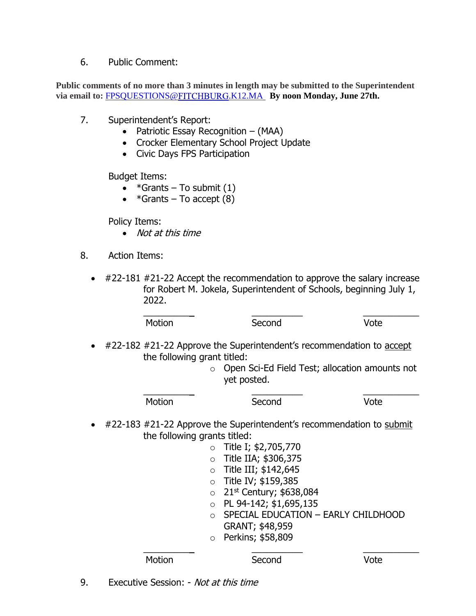### 6. Public Comment:

**Public comments of no more than 3 minutes in length may be submitted to the Superintendent**  via email to: **[FPSQUESTIONS@](mailto:FPSQUESTIONS@FITCHBURG.K12.MA)FITCHBURG.K12.MA** By noon Monday, June 27th.

- 7. Superintendent's Report:
	- Patriotic Essay Recognition (MAA)
	- Crocker Elementary School Project Update
	- Civic Days FPS Participation

Budget Items:

- $*G$ rants To submit  $(1)$
- $*G$ rants To accept  $(8)$

Policy Items:

- Not at this time
- 8. Action Items:
	- #22-181 #21-22 Accept the recommendation to approve the salary increase for Robert M. Jokela, Superintendent of Schools, beginning July 1, 2022.

|           | Motion                                                                                                                                                                          | Second               | Vote |
|-----------|---------------------------------------------------------------------------------------------------------------------------------------------------------------------------------|----------------------|------|
| $\bullet$ | #22-182 #21-22 Approve the Superintendent's recommendation to accept<br>the following grant titled:<br>Open Sci-Ed Field Test; allocation amounts not<br>$\circ$<br>yet posted. |                      |      |
|           | Motion                                                                                                                                                                          | Second               | Vote |
| $\bullet$ | #22-183 #21-22 Approve the Superintendent's recommendation to submit<br>the following grants titled:                                                                            |                      |      |
|           | $\circ$                                                                                                                                                                         | Title I; \$2,705,770 |      |
|           | $\circ$                                                                                                                                                                         | Title IIA; \$306,375 |      |
|           | $\circ$                                                                                                                                                                         | Title III; \$142,645 |      |
|           |                                                                                                                                                                                 | Titla IVI. +150 205  |      |

- $\circ$  Title IV; \$159,385  $\circ$  21st Century; \$638,084
- o PL 94-142; \$1,695,135
- o SPECIAL EDUCATION EARLY CHILDHOOD GRANT; \$48,959
- o Perkins; \$58,809

Motion Second Vote

\_\_\_\_\_\_\_\_\_\_ \_\_\_\_\_\_\_\_\_\_ \_\_\_\_\_\_\_\_\_\_\_